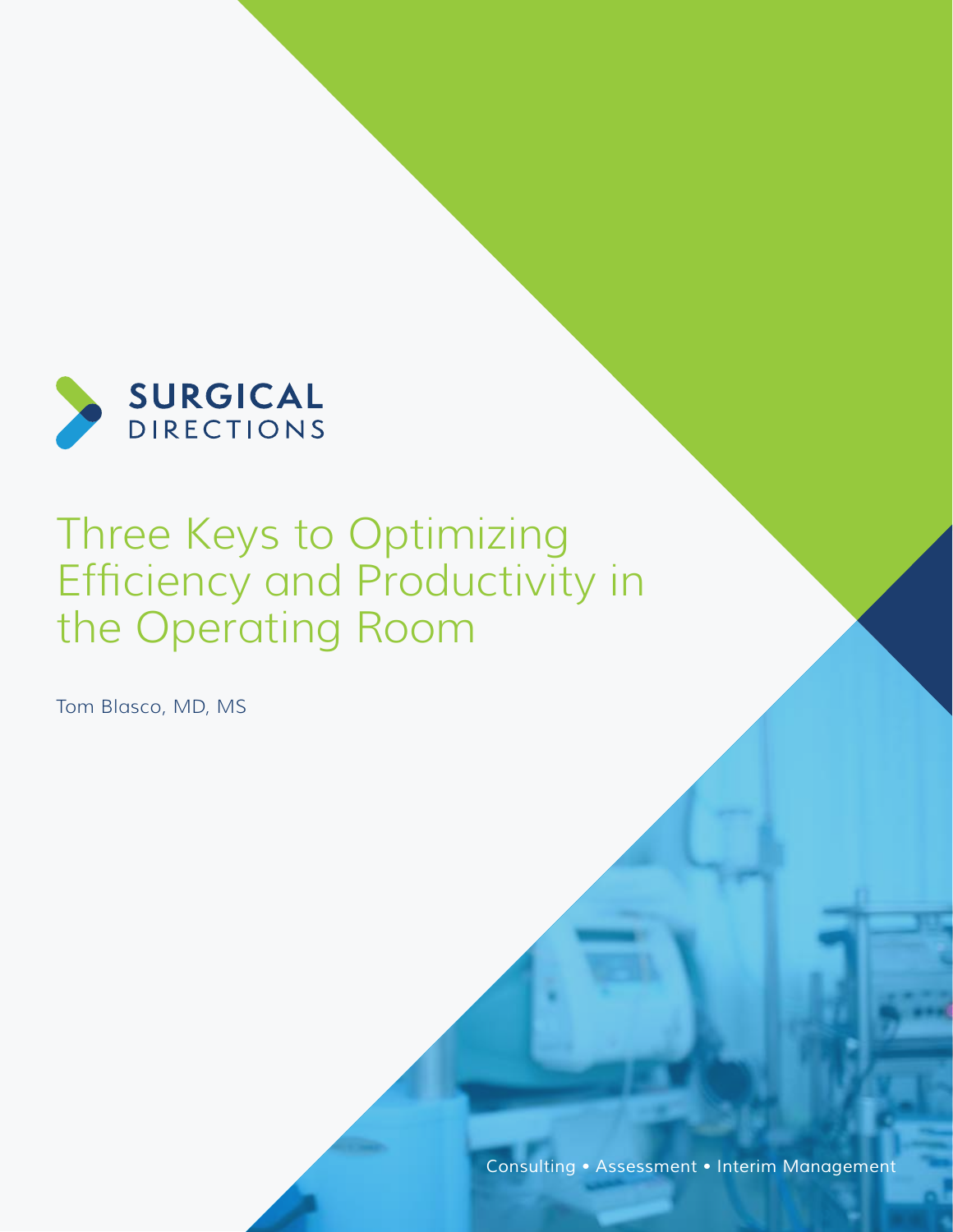

# Three Keys to Optimizing Efficiency and Productivity in the Operating Room

Tom Blasco, MD, MS

*Consulting • Assessment • Interim Management*

*www.surgicaldirections.com* 1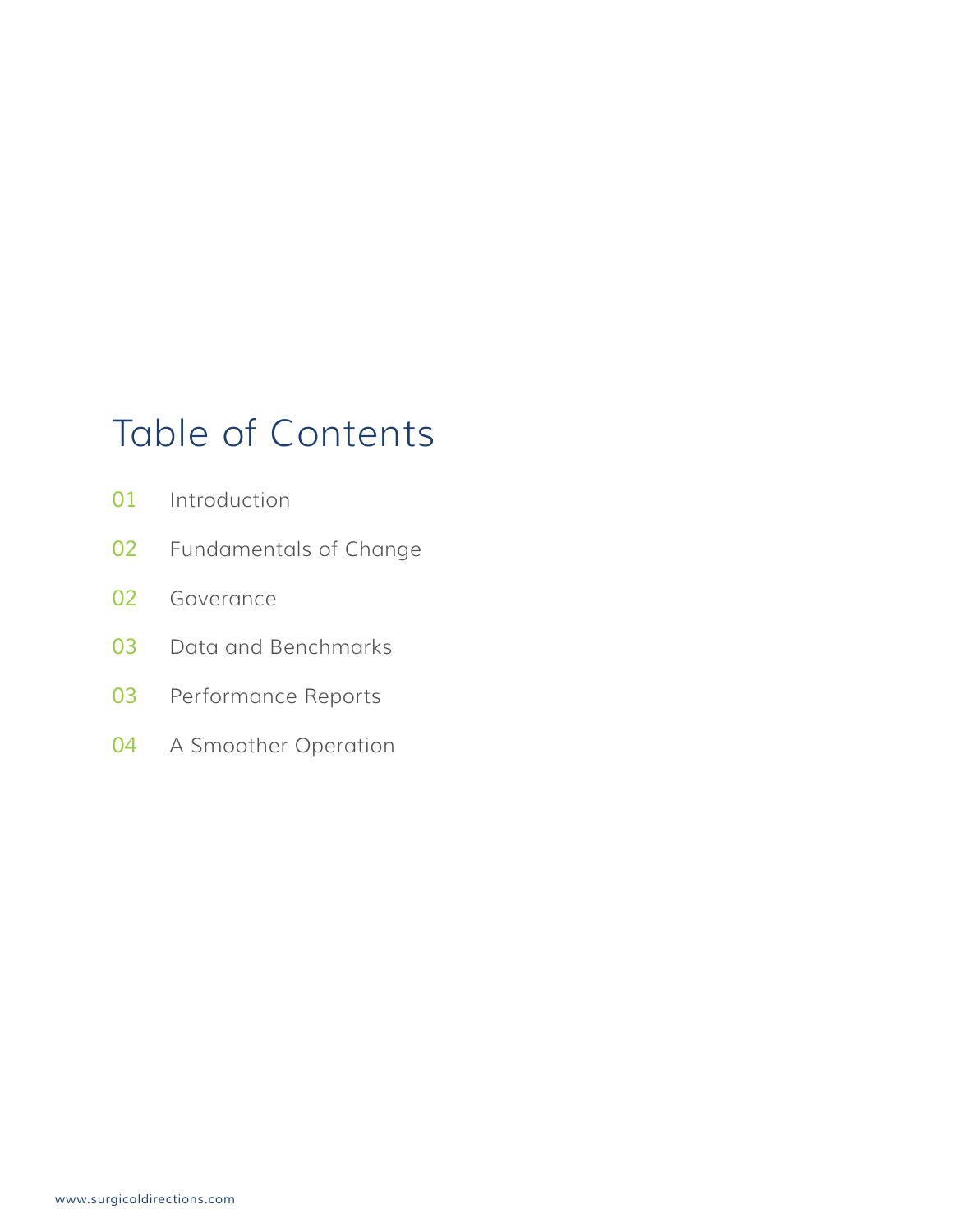## Table of Contents

- Introduction
- Fundamentals of Change
- Goverance
- Data and Benchmarks
- Performance Reports
- A Smoother Operation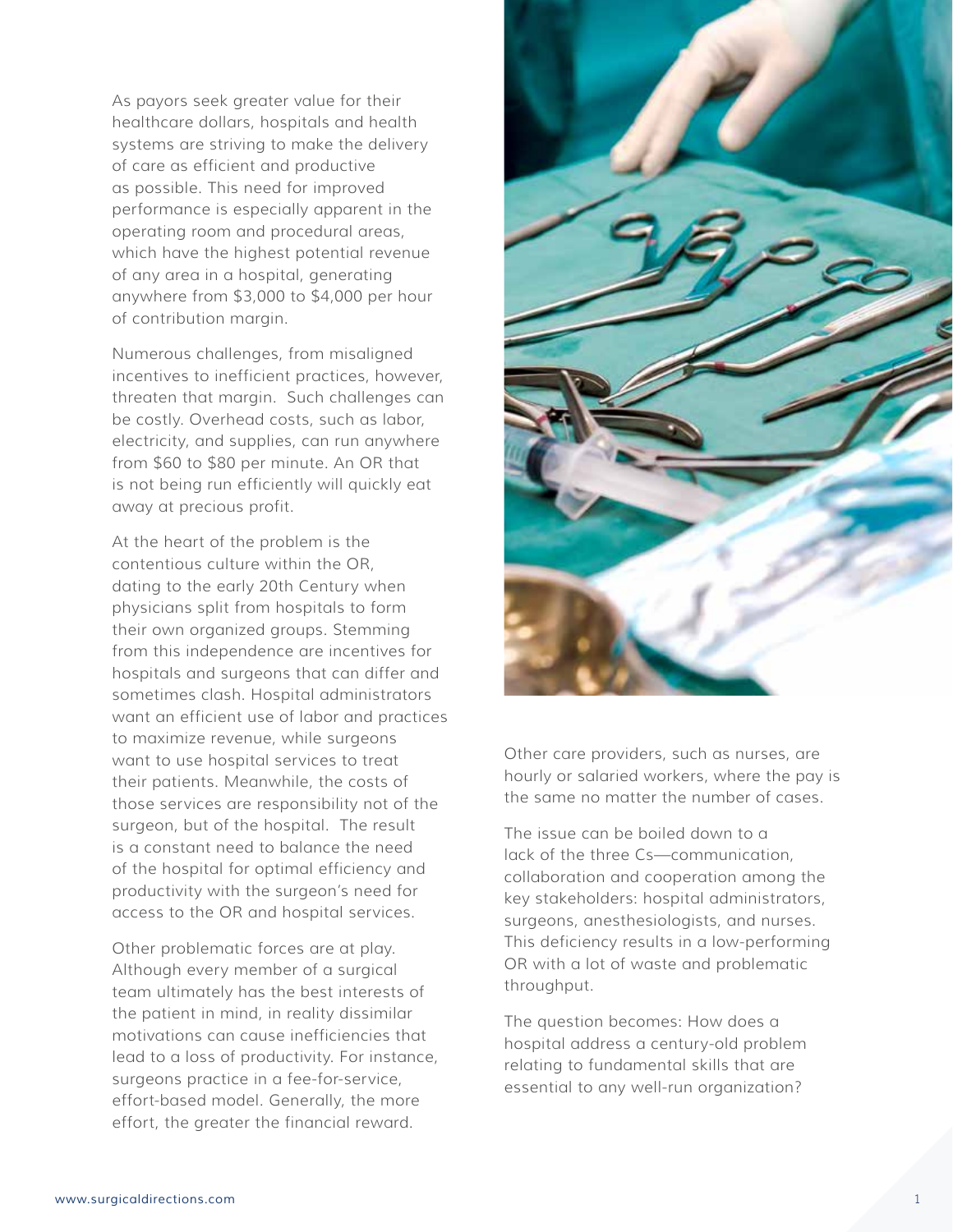As payors seek greater value for their healthcare dollars, hospitals and health systems are striving to make the delivery of care as efficient and productive as possible. This need for improved performance is especially apparent in the operating room and procedural areas, which have the highest potential revenue of any area in a hospital, generating anywhere from \$3,000 to \$4,000 per hour of contribution margin.

Numerous challenges, from misaligned incentives to inefficient practices, however, threaten that margin. Such challenges can be costly. Overhead costs, such as labor, electricity, and supplies, can run anywhere from \$60 to \$80 per minute. An OR that is not being run efficiently will quickly eat away at precious profit.

At the heart of the problem is the contentious culture within the OR, dating to the early 20th Century when physicians split from hospitals to form their own organized groups. Stemming from this independence are incentives for hospitals and surgeons that can differ and sometimes clash. Hospital administrators want an efficient use of labor and practices to maximize revenue, while surgeons want to use hospital services to treat their patients. Meanwhile, the costs of those services are responsibility not of the surgeon, but of the hospital. The result is a constant need to balance the need of the hospital for optimal efficiency and productivity with the surgeon's need for access to the OR and hospital services.

Other problematic forces are at play. Although every member of a surgical team ultimately has the best interests of the patient in mind, in reality dissimilar motivations can cause inefficiencies that lead to a loss of productivity. For instance, surgeons practice in a fee-for-service, effort-based model. Generally, the more effort, the greater the financial reward.



Other care providers, such as nurses, are hourly or salaried workers, where the pay is the same no matter the number of cases.

The issue can be boiled down to a lack of the three Cs—communication, collaboration and cooperation among the key stakeholders: hospital administrators, surgeons, anesthesiologists, and nurses. This deficiency results in a low-performing OR with a lot of waste and problematic throughput.

The question becomes: How does a hospital address a century-old problem relating to fundamental skills that are essential to any well-run organization?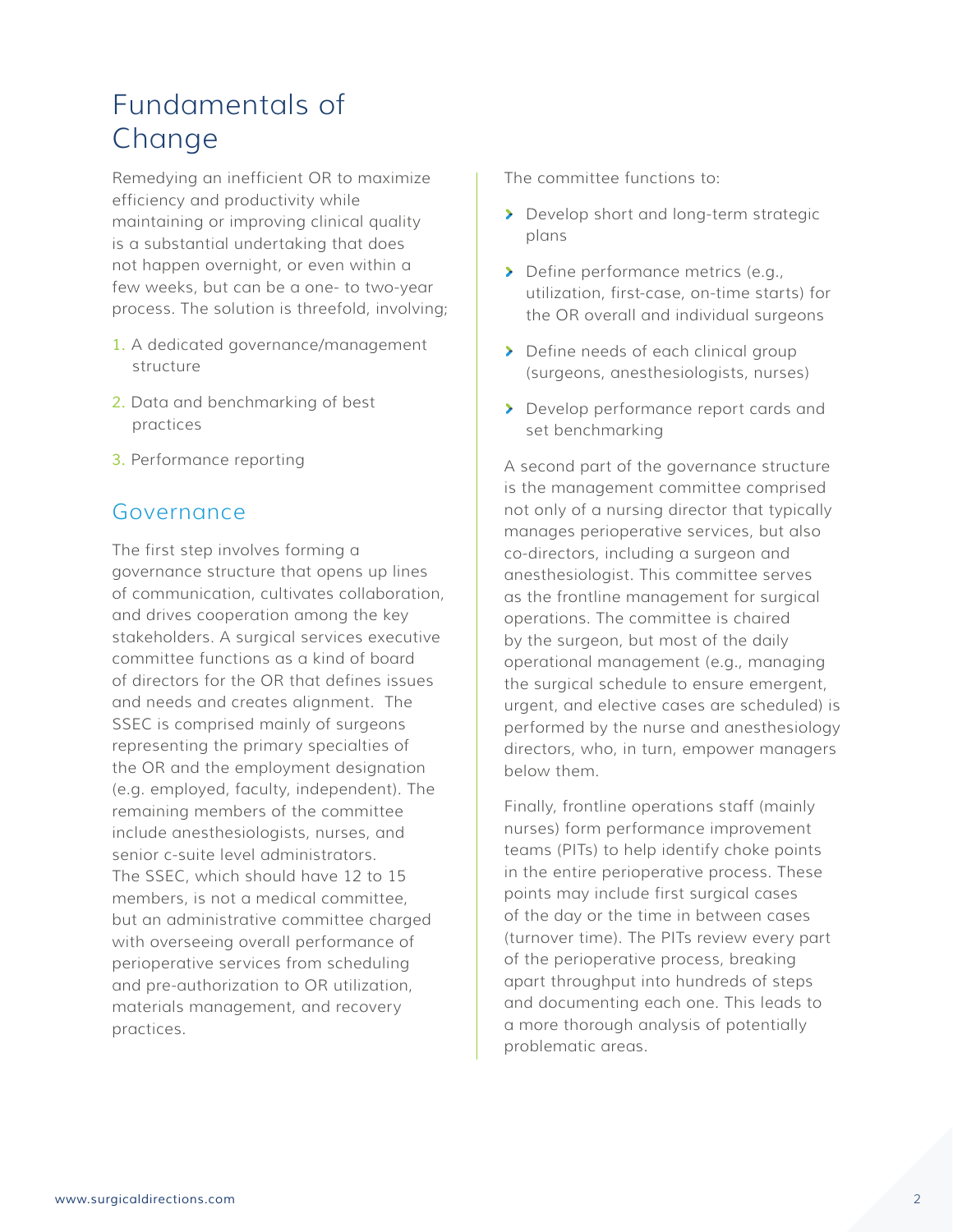### Fundamentals of Change

Remedying an inefficient OR to maximize efficiency and productivity while maintaining or improving clinical quality is a substantial undertaking that does not happen overnight, or even within a few weeks, but can be a one- to two-year process. The solution is threefold, involving;

- *1.* A dedicated governance/management structure
- *2.* Data and benchmarking of best practices
- *3.* Performance reporting

#### Governance

The first step involves forming a governance structure that opens up lines of communication, cultivates collaboration, and drives cooperation among the key stakeholders. A surgical services executive committee functions as a kind of board of directors for the OR that defines issues and needs and creates alignment. The SSEC is comprised mainly of surgeons representing the primary specialties of the OR and the employment designation (e.g. employed, faculty, independent). The remaining members of the committee include anesthesiologists, nurses, and senior c-suite level administrators. The SSEC, which should have 12 to 15 members, is not a medical committee, but an administrative committee charged with overseeing overall performance of perioperative services from scheduling and pre-authorization to OR utilization, materials management, and recovery practices.

The committee functions to:

- Develop short and long-term strategic plans
- > Define performance metrics (e.g., utilization, first-case, on-time starts) for the OR overall and individual surgeons
- > Define needs of each clinical group (surgeons, anesthesiologists, nurses)
- Develop performance report cards and set benchmarking

A second part of the governance structure is the management committee comprised not only of a nursing director that typically manages perioperative services, but also co-directors, including a surgeon and anesthesiologist. This committee serves as the frontline management for surgical operations. The committee is chaired by the surgeon, but most of the daily operational management (e.g., managing the surgical schedule to ensure emergent, urgent, and elective cases are scheduled) is performed by the nurse and anesthesiology directors, who, in turn, empower managers below them.

Finally, frontline operations staff (mainly nurses) form performance improvement teams (PITs) to help identify choke points in the entire perioperative process. These points may include first surgical cases of the day or the time in between cases (turnover time). The PITs review every part of the perioperative process, breaking apart throughput into hundreds of steps and documenting each one. This leads to a more thorough analysis of potentially problematic areas.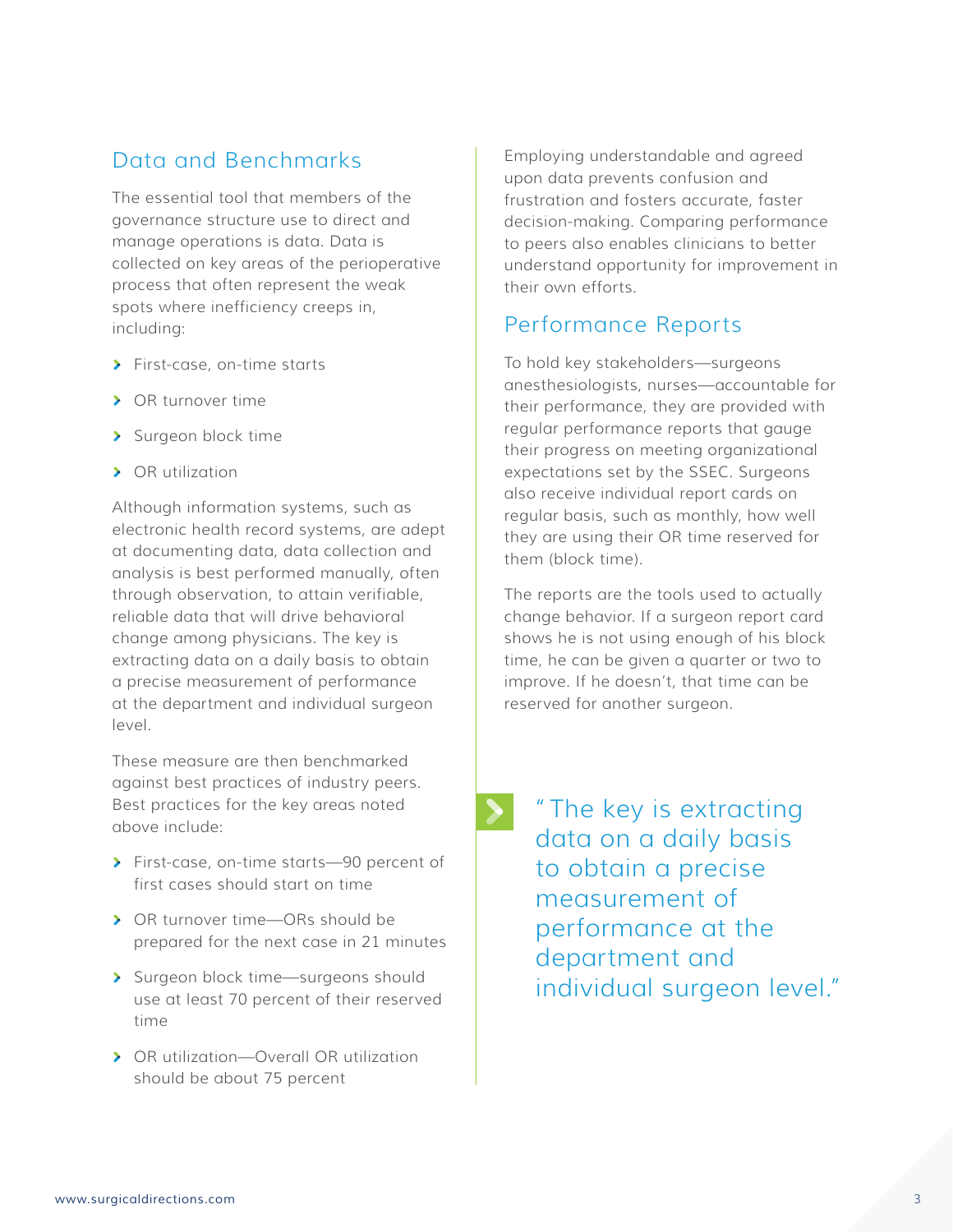#### Data and Benchmarks

The essential tool that members of the governance structure use to direct and manage operations is data. Data is collected on key areas of the perioperative process that often represent the weak spots where inefficiency creeps in, including:

- **>** First-case, on-time starts
- > OR turnover time
- > Surgeon block time
- > OR utilization

Although information systems, such as electronic health record systems, are adept at documenting data, data collection and analysis is best performed manually, often through observation, to attain verifiable, reliable data that will drive behavioral change among physicians. The key is extracting data on a daily basis to obtain a precise measurement of performance at the department and individual surgeon level.

These measure are then benchmarked against best practices of industry peers. Best practices for the key areas noted above include:

- First-case, on-time starts—90 percent of first cases should start on time
- OR turnover time—ORs should be prepared for the next case in 21 minutes
- > Surgeon block time—surgeons should use at least 70 percent of their reserved time
- OR utilization—Overall OR utilization should be about 75 percent

Employing understandable and agreed upon data prevents confusion and frustration and fosters accurate, faster decision-making. Comparing performance to peers also enables clinicians to better understand opportunity for improvement in their own efforts.

#### Performance Reports

To hold key stakeholders—surgeons anesthesiologists, nurses—accountable for their performance, they are provided with regular performance reports that gauge their progress on meeting organizational expectations set by the SSEC. Surgeons also receive individual report cards on regular basis, such as monthly, how well they are using their OR time reserved for them (block time).

The reports are the tools used to actually change behavior. If a surgeon report card shows he is not using enough of his block time, he can be given a quarter or two to improve. If he doesn't, that time can be reserved for another surgeon.

"The key is extracting data on a daily basis to obtain a precise measurement of performance at the department and individual surgeon level."